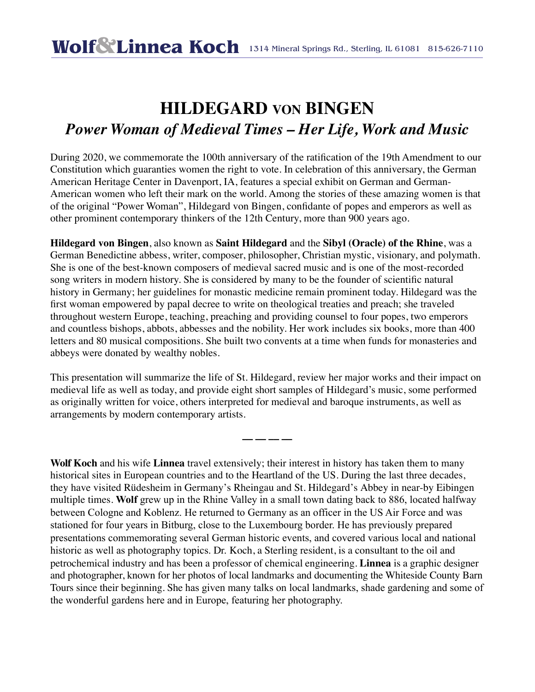## **HILDEGARD VON BINGEN** *Power Woman of Medieval Times – Her Life, Work and Music*

During 2020, we commemorate the 100th anniversary of the ratification of the 19th Amendment to our Constitution which guaranties women the right to vote. In celebration of this anniversary, the German American Heritage Center in Davenport, IA, features a special exhibit on German and German-American women who left their mark on the world. Among the stories of these amazing women is that of the original "Power Woman", Hildegard von Bingen, confidante of popes and emperors as well as other prominent contemporary thinkers of the 12th Century, more than 900 years ago.

**Hildegard von Bingen**, also known as **Saint Hildegard** and the **Sibyl (Oracle) of the Rhine**, was a German Benedictine abbess, writer, composer, philosopher, Christian mystic, visionary, and polymath. She is one of the best-known composers of medieval sacred music and is one of the most-recorded song writers in modern history. She is considered by many to be the founder of scientific natural history in Germany; her guidelines for monastic medicine remain prominent today. Hildegard was the first woman empowered by papal decree to write on theological treaties and preach; she traveled throughout western Europe, teaching, preaching and providing counsel to four popes, two emperors and countless bishops, abbots, abbesses and the nobility. Her work includes six books, more than 400 letters and 80 musical compositions. She built two convents at a time when funds for monasteries and abbeys were donated by wealthy nobles.

This presentation will summarize the life of St. Hildegard, review her major works and their impact on medieval life as well as today, and provide eight short samples of Hildegard's music, some performed as originally written for voice, others interpreted for medieval and baroque instruments, as well as arrangements by modern contemporary artists.

**–– –– –– ––**

**Wolf Koch** and his wife **Linnea** travel extensively; their interest in history has taken them to many historical sites in European countries and to the Heartland of the US. During the last three decades, they have visited Rüdesheim in Germany's Rheingau and St. Hildegard's Abbey in near-by Eibingen multiple times. **Wolf** grew up in the Rhine Valley in a small town dating back to 886, located halfway between Cologne and Koblenz. He returned to Germany as an officer in the US Air Force and was stationed for four years in Bitburg, close to the Luxembourg border. He has previously prepared presentations commemorating several German historic events, and covered various local and national historic as well as photography topics. Dr. Koch, a Sterling resident, is a consultant to the oil and petrochemical industry and has been a professor of chemical engineering. **Linnea** is a graphic designer and photographer, known for her photos of local landmarks and documenting the Whiteside County Barn Tours since their beginning. She has given many talks on local landmarks, shade gardening and some of the wonderful gardens here and in Europe, featuring her photography.